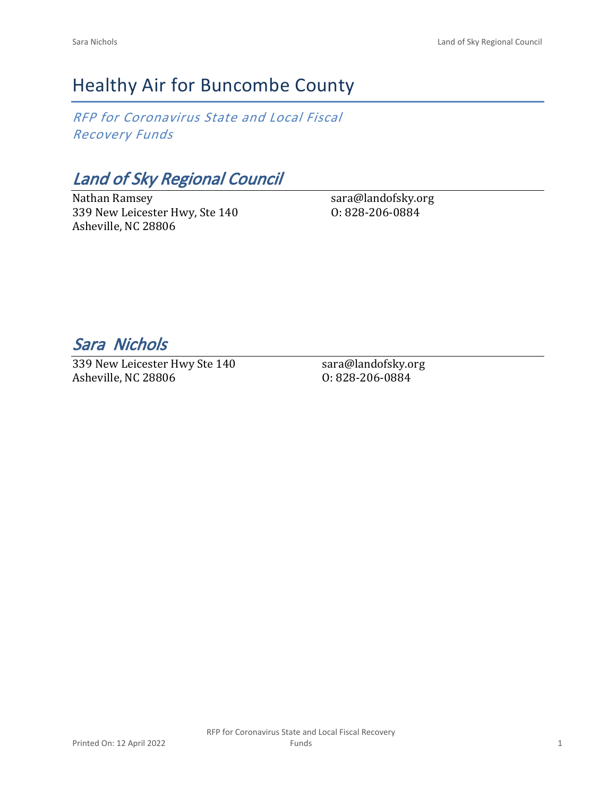# Healthy Air for Buncombe County

*RFP for Coronavirus State and Local Fiscal Recovery Funds*

*Land of Sky Regional Council*

Nathan Ramsey 339 New Leicester Hwy, Ste 140 Asheville, NC 28806

sara@landofsky.org O: 828-206-0884

*Sara Nichols* 

339 New Leicester Hwy Ste 140 Asheville, NC 28806

sara@landofsky.org O: 828-206-0884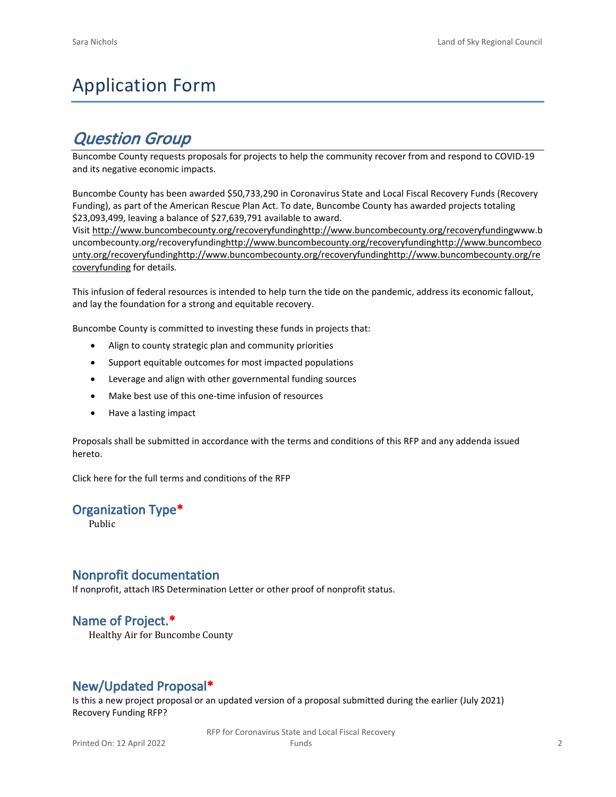# Application Form

## *Question Group*

Buncombe County requests proposals for projects to help the community recover from and respond to COVID-19 and its negative economic impacts.

Buncombe County has been awarded \$50,733,290 in Coronavirus State and Local Fiscal Recovery Funds (Recovery Funding), as part of the American Rescue Plan Act. To date, Buncombe County has awarded projects totaling \$23,093,499, leaving a balance of \$27,639,791 available to award.

Visit [http://www.buncombecounty.org/recoveryfundinghttp://www.buncombecounty.org/recoveryfundingwww.b](http://www.buncombecounty.org/recoveryfunding) [uncombecounty.org/recoveryfundinghttp://www.buncombecounty.org/recoveryfundinghttp://www.buncombeco](http://www.buncombecounty.org/recoveryfunding) [unty.org/recoveryfundinghttp://www.buncombecounty.org/recoveryfundinghttp://www.buncombecounty.org/re](http://www.buncombecounty.org/recoveryfunding) [coveryfunding](http://www.buncombecounty.org/recoveryfunding) for details.

This infusion of federal resources is intended to help turn the tide on the pandemic, address its economic fallout, and lay the foundation for a strong and equitable recovery.

Buncombe County is committed to investing these funds in projects that:

- Align to county strategic plan and community priorities
- Support equitable outcomes for most impacted populations
- Leverage and align with other governmental funding sources
- Make best use of this one-time infusion of resources
- Have a lasting impact

Proposals shall be submitted in accordance with the terms and conditions of this RFP and any addenda issued hereto.

Click [here](https://www.buncombecounty.org/common/purchasing/Buncombe%20Recovery%20Funding%20RFP%202022.pdf) for the full terms and conditions of the RFP

#### **Organization Type\***

Public

#### **Nonprofit documentation**

If nonprofit, attach IRS Determination Letter or other proof of nonprofit status.

### **Name of Project.\***

Healthy Air for Buncombe County

### **New/Updated Proposal\***

Is this a new project proposal or an updated version of a proposal submitted during the earlier (July 2021) Recovery Funding RFP?

> RFP for Coronavirus State and Local Fiscal Recovery Funds 2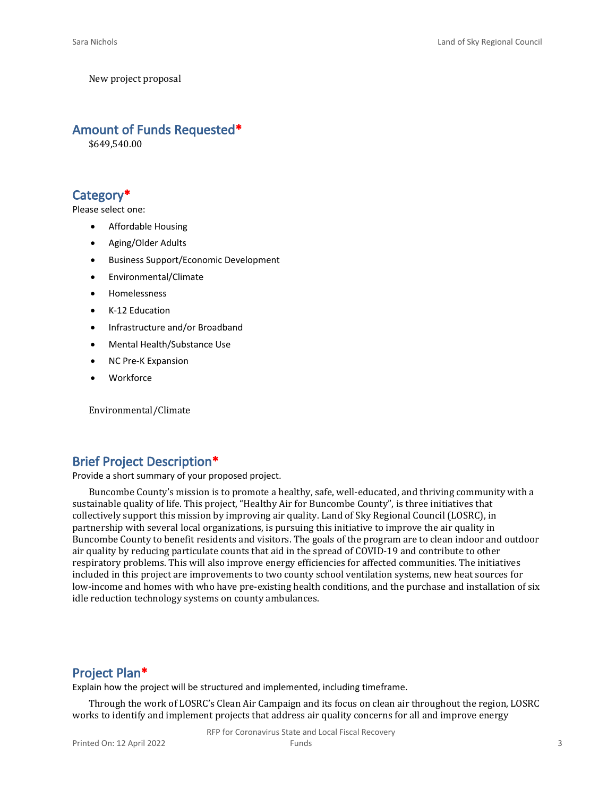New project proposal

#### **Amount of Funds Requested\***

\$649,540.00

### **Category\***

Please select one:

- Affordable Housing
- Aging/Older Adults
- Business Support/Economic Development
- Environmental/Climate
- Homelessness
- K-12 Education
- Infrastructure and/or Broadband
- Mental Health/Substance Use
- NC Pre-K Expansion
- **Workforce**

Environmental/Climate

### **Brief Project Description\***

Provide a short summary of your proposed project.

Buncombe County's mission is to promote a healthy, safe, well-educated, and thriving community with a sustainable quality of life. This project, "Healthy Air for Buncombe County", is three initiatives that collectively support this mission by improving air quality. Land of Sky Regional Council (LOSRC), in partnership with several local organizations, is pursuing this initiative to improve the air quality in Buncombe County to benefit residents and visitors. The goals of the program are to clean indoor and outdoor air quality by reducing particulate counts that aid in the spread of COVID-19 and contribute to other respiratory problems. This will also improve energy efficiencies for affected communities. The initiatives included in this project are improvements to two county school ventilation systems, new heat sources for low-income and homes with who have pre-existing health conditions, and the purchase and installation of six idle reduction technology systems on county ambulances.

#### **Project Plan\***

Explain how the project will be structured and implemented, including timeframe.

Through the work of LOSRC's Clean Air Campaign and its focus on clean air throughout the region, LOSRC works to identify and implement projects that address air quality concerns for all and improve energy

RFP for Coronavirus State and Local Fiscal Recovery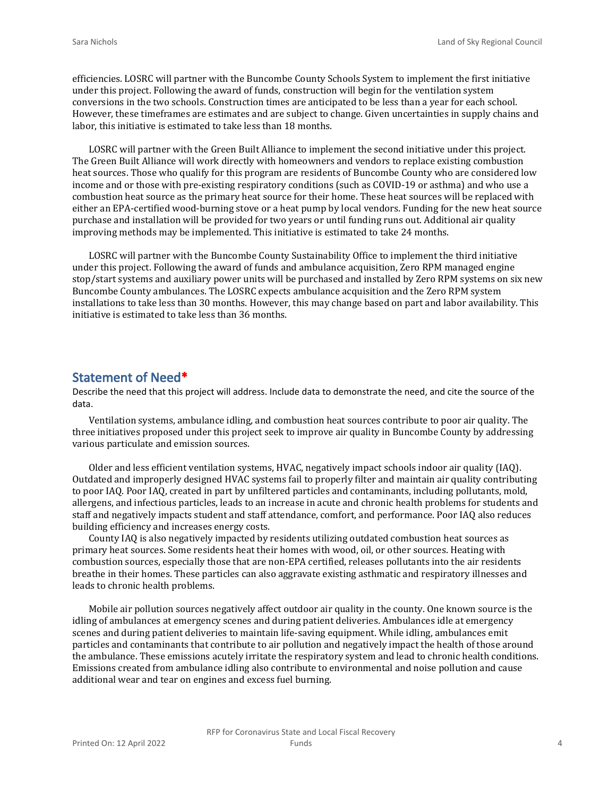efficiencies. LOSRC will partner with the Buncombe County Schools System to implement the first initiative under this project. Following the award of funds, construction will begin for the ventilation system conversions in the two schools. Construction times are anticipated to be less than a year for each school. However, these timeframes are estimates and are subject to change. Given uncertainties in supply chains and labor, this initiative is estimated to take less than 18 months.

LOSRC will partner with the Green Built Alliance to implement the second initiative under this project. The Green Built Alliance will work directly with homeowners and vendors to replace existing combustion heat sources. Those who qualify for this program are residents of Buncombe County who are considered low income and or those with pre-existing respiratory conditions (such as COVID-19 or asthma) and who use a combustion heat source as the primary heat source for their home. These heat sources will be replaced with either an EPA-certified wood-burning stove or a heat pump by local vendors. Funding for the new heat source purchase and installation will be provided for two years or until funding runs out. Additional air quality improving methods may be implemented. This initiative is estimated to take 24 months.

LOSRC will partner with the Buncombe County Sustainability Office to implement the third initiative under this project. Following the award of funds and ambulance acquisition, Zero RPM managed engine stop/start systems and auxiliary power units will be purchased and installed by Zero RPM systems on six new Buncombe County ambulances. The LOSRC expects ambulance acquisition and the Zero RPM system installations to take less than 30 months. However, this may change based on part and labor availability. This initiative is estimated to take less than 36 months.

#### **Statement of Need\***

Describe the need that this project will address. Include data to demonstrate the need, and cite the source of the data.

Ventilation systems, ambulance idling, and combustion heat sources contribute to poor air quality. The three initiatives proposed under this project seek to improve air quality in Buncombe County by addressing various particulate and emission sources.

Older and less efficient ventilation systems, HVAC, negatively impact schools indoor air quality (IAQ). Outdated and improperly designed HVAC systems fail to properly filter and maintain air quality contributing to poor IAQ. Poor IAQ, created in part by unfiltered particles and contaminants, including pollutants, mold, allergens, and infectious particles, leads to an increase in acute and chronic health problems for students and staff and negatively impacts student and staff attendance, comfort, and performance. Poor IAQ also reduces building efficiency and increases energy costs.

County IAQ is also negatively impacted by residents utilizing outdated combustion heat sources as primary heat sources. Some residents heat their homes with wood, oil, or other sources. Heating with combustion sources, especially those that are non-EPA certified, releases pollutants into the air residents breathe in their homes. These particles can also aggravate existing asthmatic and respiratory illnesses and leads to chronic health problems.

Mobile air pollution sources negatively affect outdoor air quality in the county. One known source is the idling of ambulances at emergency scenes and during patient deliveries. Ambulances idle at emergency scenes and during patient deliveries to maintain life-saving equipment. While idling, ambulances emit particles and contaminants that contribute to air pollution and negatively impact the health of those around the ambulance. These emissions acutely irritate the respiratory system and lead to chronic health conditions. Emissions created from ambulance idling also contribute to environmental and noise pollution and cause additional wear and tear on engines and excess fuel burning.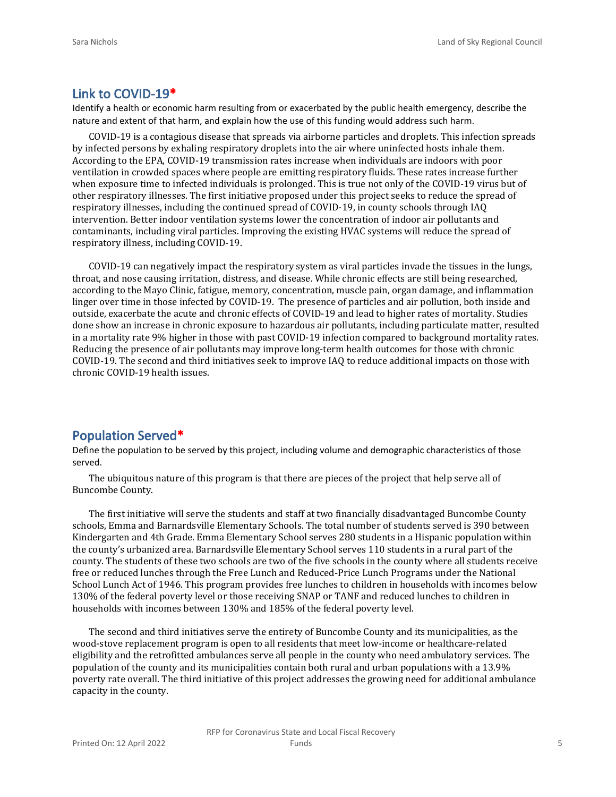#### **Link to COVID-19\***

Identify a health or economic harm resulting from or exacerbated by the public health emergency, describe the nature and extent of that harm, and explain how the use of this funding would address such harm.

COVID-19 is a contagious disease that spreads via airborne particles and droplets. This infection spreads by infected persons by exhaling respiratory droplets into the air where uninfected hosts inhale them. According to the EPA, COVID-19 transmission rates increase when individuals are indoors with poor ventilation in crowded spaces where people are emitting respiratory fluids. These rates increase further when exposure time to infected individuals is prolonged. This is true not only of the COVID-19 virus but of other respiratory illnesses. The first initiative proposed under this project seeks to reduce the spread of respiratory illnesses, including the continued spread of COVID-19, in county schools through IAQ intervention. Better indoor ventilation systems lower the concentration of indoor air pollutants and contaminants, including viral particles. Improving the existing HVAC systems will reduce the spread of respiratory illness, including COVID-19.

COVID-19 can negatively impact the respiratory system as viral particles invade the tissues in the lungs, throat, and nose causing irritation, distress, and disease. While chronic effects are still being researched, according to the Mayo Clinic, fatigue, memory, concentration, muscle pain, organ damage, and inflammation linger over time in those infected by COVID-19. The presence of particles and air pollution, both inside and outside, exacerbate the acute and chronic effects of COVID-19 and lead to higher rates of mortality. Studies done show an increase in chronic exposure to hazardous air pollutants, including particulate matter, resulted in a mortality rate 9% higher in those with past COVID-19 infection compared to background mortality rates. Reducing the presence of air pollutants may improve long-term health outcomes for those with chronic COVID-19. The second and third initiatives seek to improve IAQ to reduce additional impacts on those with chronic COVID-19 health issues.

#### **Population Served\***

Define the population to be served by this project, including volume and demographic characteristics of those served.

The ubiquitous nature of this program is that there are pieces of the project that help serve all of Buncombe County.

The first initiative will serve the students and staff at two financially disadvantaged Buncombe County schools, Emma and Barnardsville Elementary Schools. The total number of students served is 390 between Kindergarten and 4th Grade. Emma Elementary School serves 280 students in a Hispanic population within the county's urbanized area. Barnardsville Elementary School serves 110 students in a rural part of the county. The students of these two schools are two of the five schools in the county where all students receive free or reduced lunches through the Free Lunch and Reduced-Price Lunch Programs under the National School Lunch Act of 1946. This program provides free lunches to children in households with incomes below 130% of the federal poverty level or those receiving SNAP or TANF and reduced lunches to children in households with incomes between 130% and 185% of the federal poverty level.

The second and third initiatives serve the entirety of Buncombe County and its municipalities, as the wood-stove replacement program is open to all residents that meet low-income or healthcare-related eligibility and the retrofitted ambulances serve all people in the county who need ambulatory services. The population of the county and its municipalities contain both rural and urban populations with a 13.9% poverty rate overall. The third initiative of this project addresses the growing need for additional ambulance capacity in the county.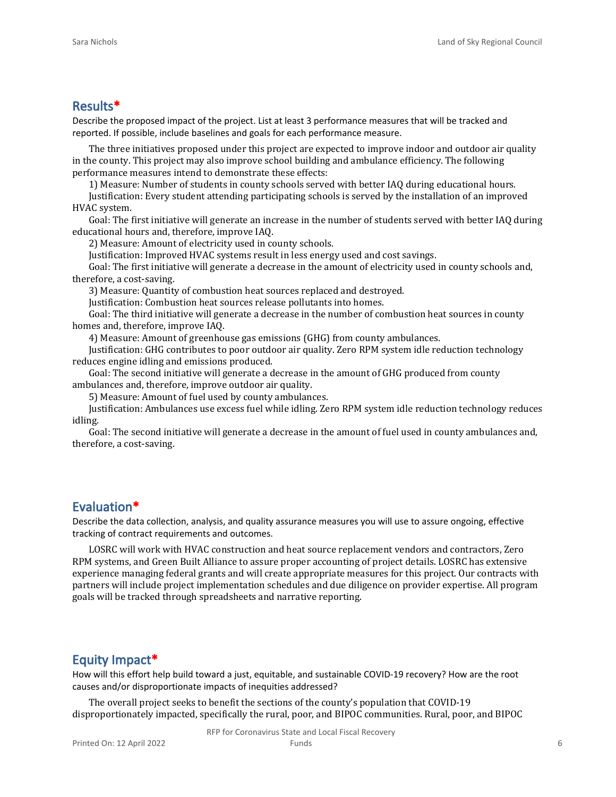#### **Results\***

Describe the proposed impact of the project. List at least 3 performance measures that will be tracked and reported. If possible, include baselines and goals for each performance measure.

The three initiatives proposed under this project are expected to improve indoor and outdoor air quality in the county. This project may also improve school building and ambulance efficiency. The following performance measures intend to demonstrate these effects:

1) Measure: Number of students in county schools served with better IAQ during educational hours.

Justification: Every student attending participating schools is served by the installation of an improved HVAC system.

Goal: The first initiative will generate an increase in the number of students served with better IAQ during educational hours and, therefore, improve IAQ.

2) Measure: Amount of electricity used in county schools.

Justification: Improved HVAC systems result in less energy used and cost savings.

Goal: The first initiative will generate a decrease in the amount of electricity used in county schools and, therefore, a cost-saving.

3) Measure: Quantity of combustion heat sources replaced and destroyed.

Justification: Combustion heat sources release pollutants into homes.

Goal: The third initiative will generate a decrease in the number of combustion heat sources in county homes and, therefore, improve IAQ.

4) Measure: Amount of greenhouse gas emissions (GHG) from county ambulances.

Justification: GHG contributes to poor outdoor air quality. Zero RPM system idle reduction technology reduces engine idling and emissions produced.

Goal: The second initiative will generate a decrease in the amount of GHG produced from county ambulances and, therefore, improve outdoor air quality.

5) Measure: Amount of fuel used by county ambulances.

Justification: Ambulances use excess fuel while idling. Zero RPM system idle reduction technology reduces idling.

Goal: The second initiative will generate a decrease in the amount of fuel used in county ambulances and, therefore, a cost-saving.

#### **Evaluation\***

Describe the data collection, analysis, and quality assurance measures you will use to assure ongoing, effective tracking of contract requirements and outcomes.

LOSRC will work with HVAC construction and heat source replacement vendors and contractors, Zero RPM systems, and Green Built Alliance to assure proper accounting of project details. LOSRC has extensive experience managing federal grants and will create appropriate measures for this project. Our contracts with partners will include project implementation schedules and due diligence on provider expertise. All program goals will be tracked through spreadsheets and narrative reporting.

#### **Equity Impact\***

How will this effort help build toward a just, equitable, and sustainable COVID-19 recovery? How are the root causes and/or disproportionate impacts of inequities addressed?

The overall project seeks to benefit the sections of the county's population that COVID-19 disproportionately impacted, specifically the rural, poor, and BIPOC communities. Rural, poor, and BIPOC

RFP for Coronavirus State and Local Fiscal Recovery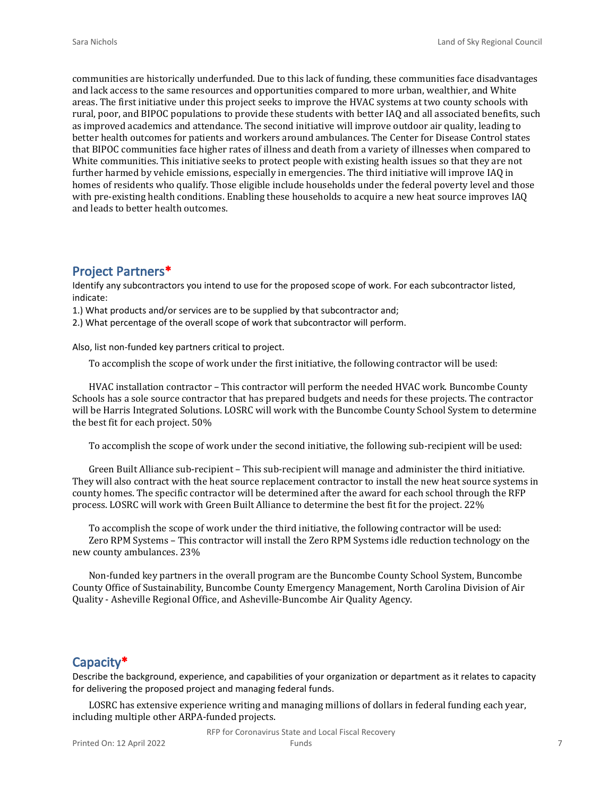communities are historically underfunded. Due to this lack of funding, these communities face disadvantages and lack access to the same resources and opportunities compared to more urban, wealthier, and White areas. The first initiative under this project seeks to improve the HVAC systems at two county schools with rural, poor, and BIPOC populations to provide these students with better IAQ and all associated benefits, such as improved academics and attendance. The second initiative will improve outdoor air quality, leading to better health outcomes for patients and workers around ambulances. The Center for Disease Control states that BIPOC communities face higher rates of illness and death from a variety of illnesses when compared to White communities. This initiative seeks to protect people with existing health issues so that they are not further harmed by vehicle emissions, especially in emergencies. The third initiative will improve IAQ in homes of residents who qualify. Those eligible include households under the federal poverty level and those with pre-existing health conditions. Enabling these households to acquire a new heat source improves IAQ and leads to better health outcomes.

#### **Project Partners\***

Identify any subcontractors you intend to use for the proposed scope of work. For each subcontractor listed, indicate:

1.) What products and/or services are to be supplied by that subcontractor and;

2.) What percentage of the overall scope of work that subcontractor will perform.

Also, list non-funded key partners critical to project.

To accomplish the scope of work under the first initiative, the following contractor will be used:

HVAC installation contractor – This contractor will perform the needed HVAC work. Buncombe County Schools has a sole source contractor that has prepared budgets and needs for these projects. The contractor will be Harris Integrated Solutions. LOSRC will work with the Buncombe County School System to determine the best fit for each project. 50%

To accomplish the scope of work under the second initiative, the following sub-recipient will be used:

Green Built Alliance sub-recipient – This sub-recipient will manage and administer the third initiative. They will also contract with the heat source replacement contractor to install the new heat source systems in county homes. The specific contractor will be determined after the award for each school through the RFP process. LOSRC will work with Green Built Alliance to determine the best fit for the project. 22%

To accomplish the scope of work under the third initiative, the following contractor will be used: Zero RPM Systems – This contractor will install the Zero RPM Systems idle reduction technology on the new county ambulances. 23%

Non-funded key partners in the overall program are the Buncombe County School System, Buncombe County Office of Sustainability, Buncombe County Emergency Management, North Carolina Division of Air Quality - Asheville Regional Office, and Asheville-Buncombe Air Quality Agency.

#### **Capacity\***

Describe the background, experience, and capabilities of your organization or department as it relates to capacity for delivering the proposed project and managing federal funds.

LOSRC has extensive experience writing and managing millions of dollars in federal funding each year, including multiple other ARPA-funded projects.

RFP for Coronavirus State and Local Fiscal Recovery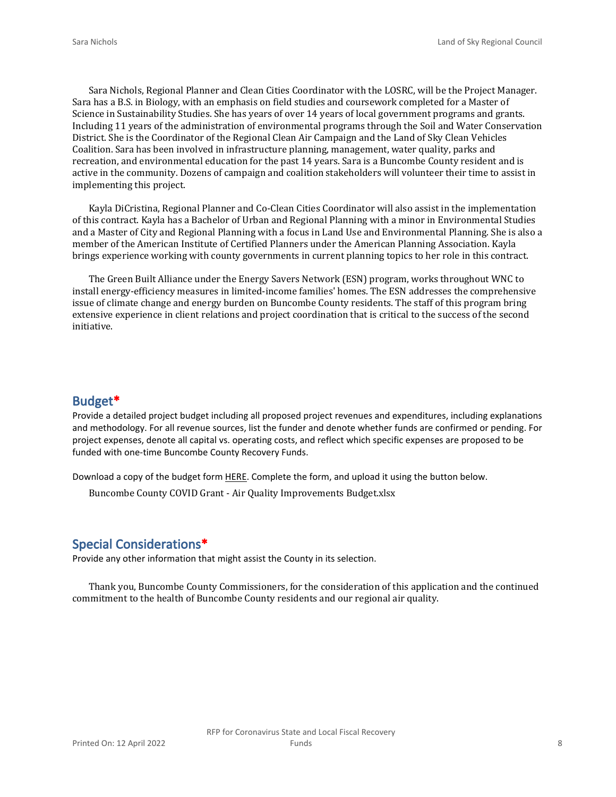Sara Nichols, Regional Planner and Clean Cities Coordinator with the LOSRC, will be the Project Manager. Sara has a B.S. in Biology, with an emphasis on field studies and coursework completed for a Master of Science in Sustainability Studies. She has years of over 14 years of local government programs and grants. Including 11 years of the administration of environmental programs through the Soil and Water Conservation District. She is the Coordinator of the Regional Clean Air Campaign and the Land of Sky Clean Vehicles Coalition. Sara has been involved in infrastructure planning, management, water quality, parks and recreation, and environmental education for the past 14 years. Sara is a Buncombe County resident and is active in the community. Dozens of campaign and coalition stakeholders will volunteer their time to assist in implementing this project.

Kayla DiCristina, Regional Planner and Co-Clean Cities Coordinator will also assist in the implementation of this contract. Kayla has a Bachelor of Urban and Regional Planning with a minor in Environmental Studies and a Master of City and Regional Planning with a focus in Land Use and Environmental Planning. She is also a member of the American Institute of Certified Planners under the American Planning Association. Kayla brings experience working with county governments in current planning topics to her role in this contract.

The Green Built Alliance under the Energy Savers Network (ESN) program, works throughout WNC to install energy-efficiency measures in limited-income families' homes. The ESN addresses the comprehensive issue of climate change and energy burden on Buncombe County residents. The staff of this program bring extensive experience in client relations and project coordination that is critical to the success of the second initiative.

#### **Budget\***

Provide a detailed project budget including all proposed project revenues and expenditures, including explanations and methodology. For all revenue sources, list the funder and denote whether funds are confirmed or pending. For project expenses, denote all capital vs. operating costs, and reflect which specific expenses are proposed to be funded with one-time Buncombe County Recovery Funds.

Download a copy of the budget form [HERE](https://buncombecounty.org/common/community-investment/grants/early-childhood-education/Recovery-Funds-budget-template.xlsx). Complete the form, and upload it using the button below.

Buncombe County COVID Grant - Air Quality Improvements Budget.xlsx

#### **Special Considerations\***

Provide any other information that might assist the County in its selection.

Thank you, Buncombe County Commissioners, for the consideration of this application and the continued commitment to the health of Buncombe County residents and our regional air quality.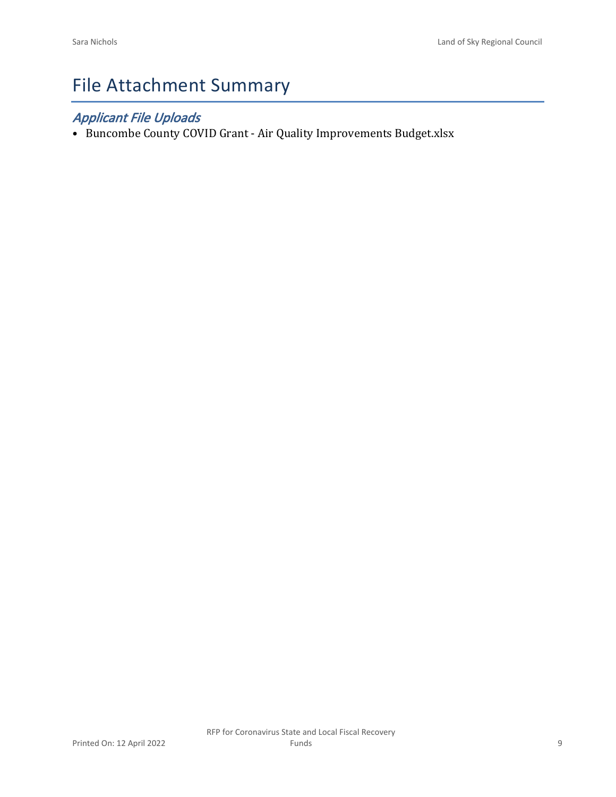# File Attachment Summary

## *Applicant File Uploads*

• Buncombe County COVID Grant - Air Quality Improvements Budget.xlsx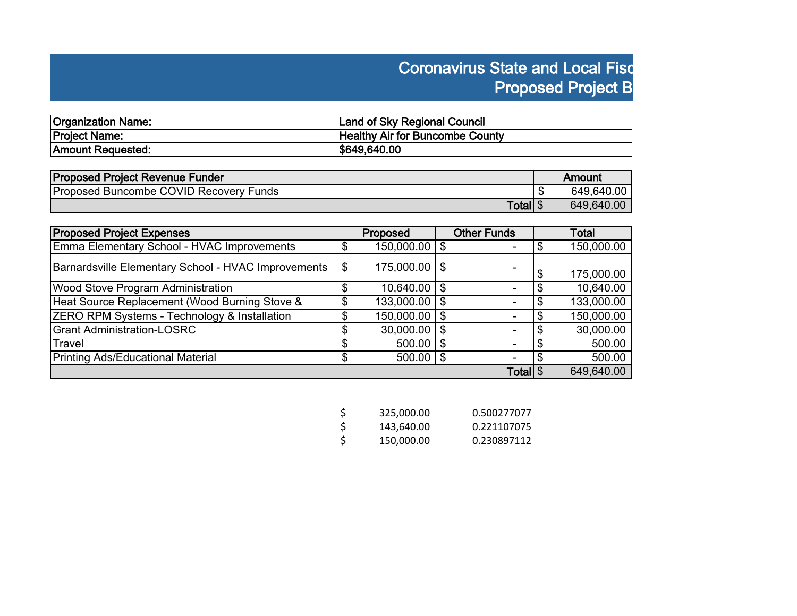# **Coronavirus State and Local Fisc Proposed Project B**

| <b>Organization Name:</b> | Land of Sky Regional Council           |
|---------------------------|----------------------------------------|
| Project Name:             | <b>Healthy Air for Buncombe County</b> |
| Amount Requested:         | \$649,640.00                           |

| <b>Proposed Project Revenue Funder</b>        | Amount     |
|-----------------------------------------------|------------|
| <b>Proposed Buncombe COVID Recovery Funds</b> | 649,640.00 |
| Total \$                                      | 649,640.00 |

| <b>Proposed Project Expenses</b>                    | Proposed                |      | <b>Other Funds</b> |   | Total      |
|-----------------------------------------------------|-------------------------|------|--------------------|---|------------|
| Emma Elementary School - HVAC Improvements          | $150,000.00$   \$       |      |                    |   | 150,000.00 |
| Barnardsville Elementary School - HVAC Improvements | \$<br>$175,000.00$   \$ |      |                    | æ | 175,000.00 |
| <b>Wood Stove Program Administration</b>            | $10,640.00$   \$        |      |                    |   | 10,640.00  |
| Heat Source Replacement (Wood Burning Stove &       | $133,000.00$   \$       |      |                    |   | 133,000.00 |
| ZERO RPM Systems - Technology & Installation        | $150,000.00$   \$       |      |                    |   | 150,000.00 |
| <b>Grant Administration-LOSRC</b>                   | $30,000.00$   \$        |      | ۰                  |   | 30,000.00  |
| Travel                                              | $500.00$   \$           |      |                    |   | 500.00     |
| <b>Printing Ads/Educational Material</b>            | 500.00                  | l \$ |                    |   | 500.00     |
|                                                     |                         |      | Total \$           |   | 649,640.00 |

| -\$ | 325,000.00 | 0.500277077 |
|-----|------------|-------------|
| Ŝ.  | 143.640.00 | 0.221107075 |
| -Ś  | 150,000.00 | 0.230897112 |